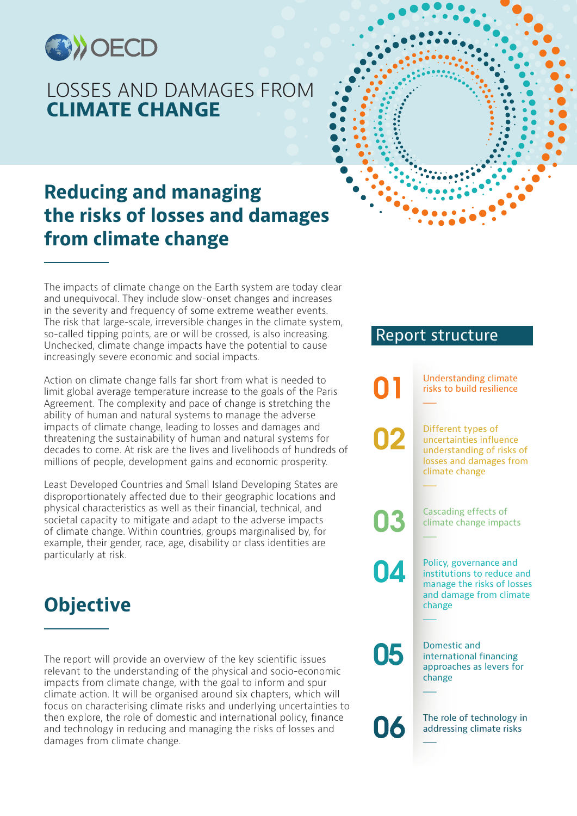

### LOSSES AND DAMAGES FROM **CLIMATE CHANGE**

### **Reducing and managing the risks of losses and damages** from climate change

The impacts of climate change on the Earth system are today clear and unequivocal. They include slow-onset changes and increases in the severity and frequency of some extreme weather events. The risk that large-scale, irreversible changes in the climate system, so-called tipping points, are or will be crossed, is also increasing. Unchecked, climate change impacts have the potential to cause increasingly severe economic and social impacts.

Action on climate change falls far short from what is needed to limit global average temperature increase to the goals of the Paris Agreement. The complexity and pace of change is stretching the ability of human and natural systems to manage the adverse impacts of climate change, leading to losses and damages and threatening the sustainability of human and natural systems for decades to come. At risk are the lives and livelihoods of hundreds of millions of people, development gains and economic prosperity.

Least Developed Countries and Small Island Developing States are disproportionately affected due to their geographic locations and physical characteristics as well as their financial, technical, and societal capacity to mitigate and adapt to the adverse impacts of climate change. Within countries, groups marginalised by, for example, their gender, race, age, disability or class identities are particularly at risk.

## **Objective**

The report will provide an overview of the key scientific issues relevant to the understanding of the physical and socio-economic impacts from climate change, with the goal to inform and spur climate action. It will be organised around six chapters, which will focus on characterising climate risks and underlying uncertainties to then explore, the role of domestic and international policy, finance and technology in reducing and managing the risks of losses and damages from climate change.

### Report structure

| 01 | <b>Understanding climate</b><br>risks to build resilience                                                               |
|----|-------------------------------------------------------------------------------------------------------------------------|
| 02 | Different types of<br>uncertainties influence<br>understanding of risks of<br>losses and damages from<br>climate change |
| 03 | <b>Cascading effects of</b><br>climate change impacts                                                                   |
| 04 | Policy, governance and<br>institutions to reduce and<br>manage the risks of losses<br>and damage from climate<br>change |
| 05 | <b>Domestic and</b><br>international financing<br>approaches as levers for<br>change                                    |
| 06 | The role of technology in<br>addressing climate risks                                                                   |